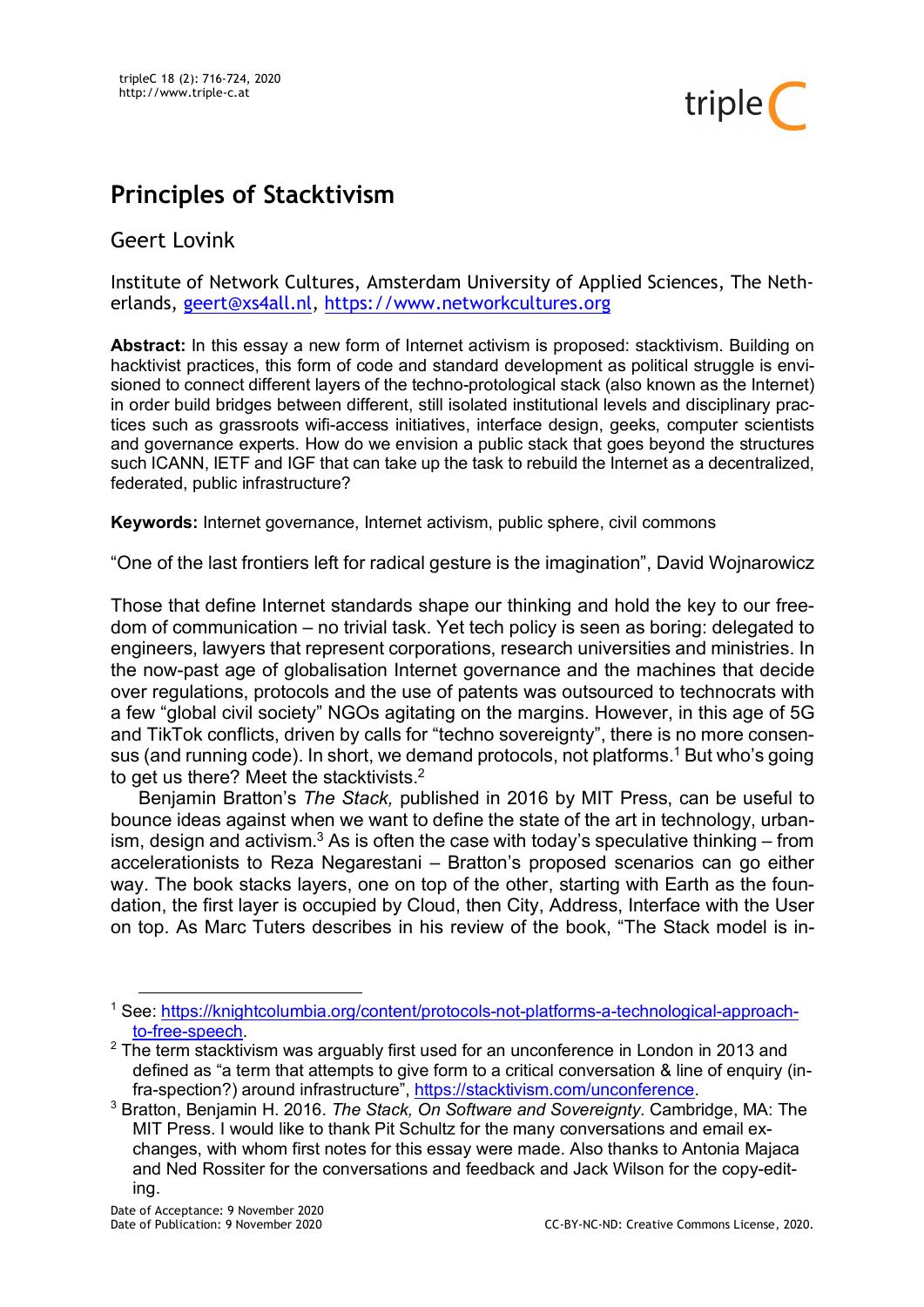

# **Principles of Stacktivism**

## Geert Lovink

Institute of Network Cultures, Amsterdam University of Applied Sciences, The Netherlands, geert@xs4all.nl, https://www.networkcultures.org

**Abstract:** In this essay a new form of Internet activism is proposed: stacktivism. Building on hacktivist practices, this form of code and standard development as political struggle is envisioned to connect different layers of the techno-protological stack (also known as the Internet) in order build bridges between different, still isolated institutional levels and disciplinary practices such as grassroots wifi-access initiatives, interface design, geeks, computer scientists and governance experts. How do we envision a public stack that goes beyond the structures such ICANN, IETF and IGF that can take up the task to rebuild the Internet as a decentralized, federated, public infrastructure?

**Keywords:** Internet governance, Internet activism, public sphere, civil commons

"One of the last frontiers left for radical gesture is the imagination", David Wojnarowicz

Those that define Internet standards shape our thinking and hold the key to our freedom of communication – no trivial task. Yet tech policy is seen as boring: delegated to engineers, lawyers that represent corporations, research universities and ministries. In the now-past age of globalisation Internet governance and the machines that decide over regulations, protocols and the use of patents was outsourced to technocrats with a few "global civil society" NGOs agitating on the margins. However, in this age of 5G and TikTok conflicts, driven by calls for "techno sovereignty", there is no more consensus (and running code). In short, we demand protocols, not platforms.<sup>1</sup> But who's going to get us there? Meet the stacktivists.<sup>2</sup>

Benjamin Bratton's *The Stack,* published in 2016 by MIT Press, can be useful to bounce ideas against when we want to define the state of the art in technology, urbanism, design and activism.<sup>3</sup> As is often the case with today's speculative thinking – from accelerationists to Reza Negarestani – Bratton's proposed scenarios can go either way. The book stacks layers, one on top of the other, starting with Earth as the foundation, the first layer is occupied by Cloud, then City, Address, Interface with the User on top. As Marc Tuters describes in his review of the book, "The Stack model is in-

 <sup>1</sup> See: https://knightcolumbia.org/content/protocols-not-platforms-a-technological-approachto-free-speech.<br><sup>2</sup> The term stacktivism was arguably first used for an unconference in London in 2013 and

defined as "a term that attempts to give form to a critical conversation & line of enquiry (in-

fra-spection?) around infrastructure", https://stacktivism.com/unconference. 3 Bratton, Benjamin H. 2016. *The Stack, On Software and Sovereignty*. Cambridge, MA: The MIT Press. I would like to thank Pit Schultz for the many conversations and email exchanges, with whom first notes for this essay were made. Also thanks to Antonia Majaca and Ned Rossiter for the conversations and feedback and Jack Wilson for the copy-editing.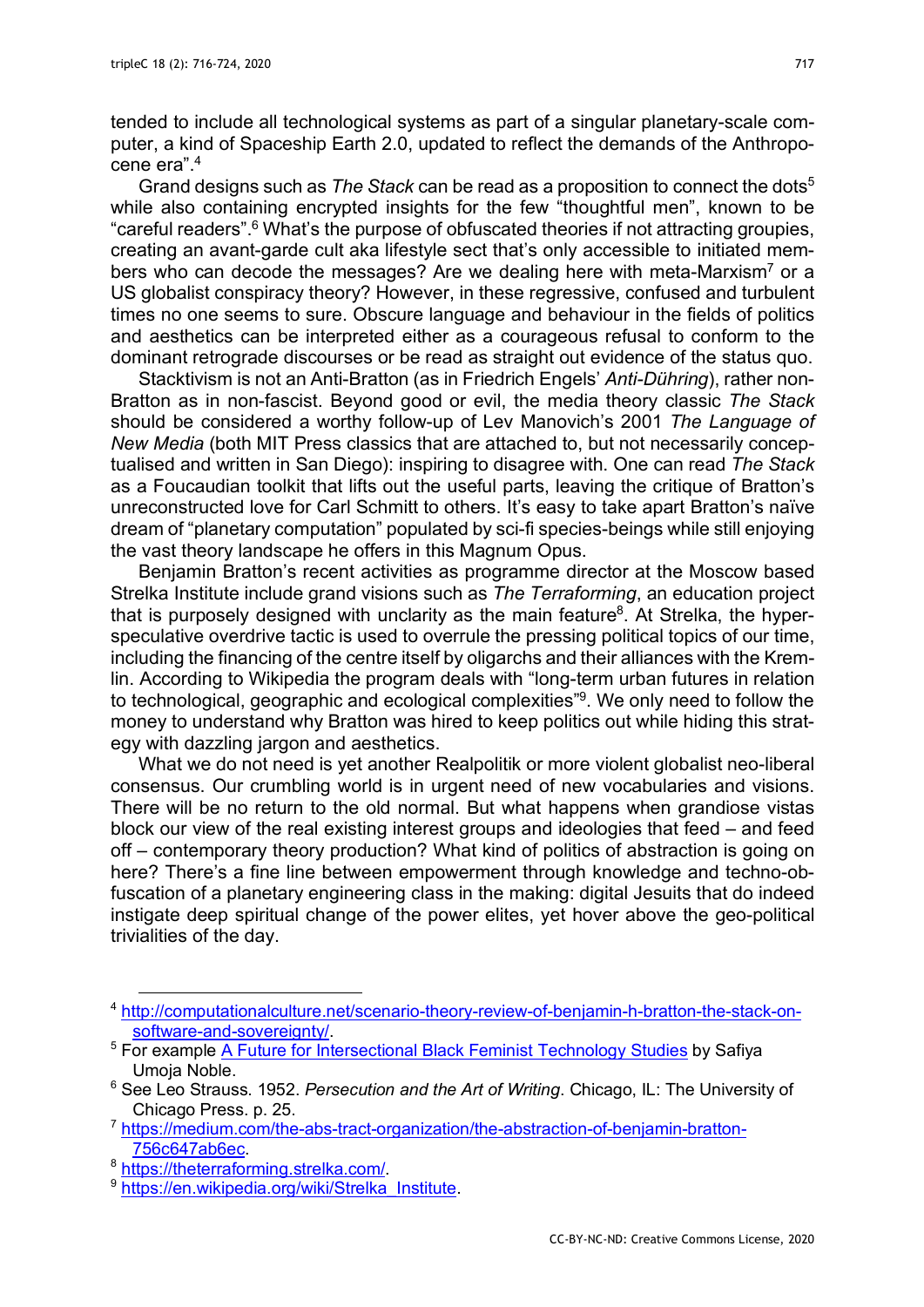tended to include all technological systems as part of a singular planetary-scale computer, a kind of Spaceship Earth 2.0, updated to reflect the demands of the Anthropocene era".4

Grand designs such as *The Stack* can be read as a proposition to connect the dots5 while also containing encrypted insights for the few "thoughtful men", known to be "careful readers".6 What's the purpose of obfuscated theories if not attracting groupies, creating an avant-garde cult aka lifestyle sect that's only accessible to initiated members who can decode the messages? Are we dealing here with meta-Marxism<sup>7</sup> or a US globalist conspiracy theory? However, in these regressive, confused and turbulent times no one seems to sure. Obscure language and behaviour in the fields of politics and aesthetics can be interpreted either as a courageous refusal to conform to the dominant retrograde discourses or be read as straight out evidence of the status quo.

Stacktivism is not an Anti-Bratton (as in Friedrich Engels' *Anti-Dühring*), rather non-Bratton as in non-fascist. Beyond good or evil, the media theory classic *The Stack* should be considered a worthy follow-up of Lev Manovich's 2001 *The Language of New Media* (both MIT Press classics that are attached to, but not necessarily conceptualised and written in San Diego): inspiring to disagree with. One can read *The Stack* as a Foucaudian toolkit that lifts out the useful parts, leaving the critique of Bratton's unreconstructed love for Carl Schmitt to others. It's easy to take apart Bratton's naïve dream of "planetary computation" populated by sci-fi species-beings while still enjoying the vast theory landscape he offers in this Magnum Opus.

Benjamin Bratton's recent activities as programme director at the Moscow based Strelka Institute include grand visions such as *The Terraforming*, an education project that is purposely designed with unclarity as the main feature<sup>8</sup>. At Strelka, the hyperspeculative overdrive tactic is used to overrule the pressing political topics of our time, including the financing of the centre itself by oligarchs and their alliances with the Kremlin. According to Wikipedia the program deals with "long-term urban futures in relation to technological, geographic and ecological complexities"9. We only need to follow the money to understand why Bratton was hired to keep politics out while hiding this strategy with dazzling jargon and aesthetics.

What we do not need is yet another Realpolitik or more violent globalist neo-liberal consensus. Our crumbling world is in urgent need of new vocabularies and visions. There will be no return to the old normal. But what happens when grandiose vistas block our view of the real existing interest groups and ideologies that feed – and feed off – contemporary theory production? What kind of politics of abstraction is going on here? There's a fine line between empowerment through knowledge and techno-obfuscation of a planetary engineering class in the making: digital Jesuits that do indeed instigate deep spiritual change of the power elites, yet hover above the geo-political trivialities of the day.

 <sup>4</sup> http://computationalculture.net/scenario-theory-review-of-benjamin-h-bratton-the-stack-onsoftware-and-sovereignty/.<br><sup>5</sup> For example A Future for Intersectional Black Feminist Technology Studies by Safiya

Umoja Noble.

<sup>6</sup> See Leo Strauss. 1952. *Persecution and the Art of Writing*. Chicago, IL: The University of Chicago Press. p. 25.

<sup>7</sup> https://medium.com/the-abs-tract-organization/the-abstraction-of-benjamin-bratton-756c647ab6ec.<br><sup>8</sup> https://theterraforming.strelka.com/.<br><sup>9</sup> https://en.wikipedia.org/wiki/Strelka\_Institute.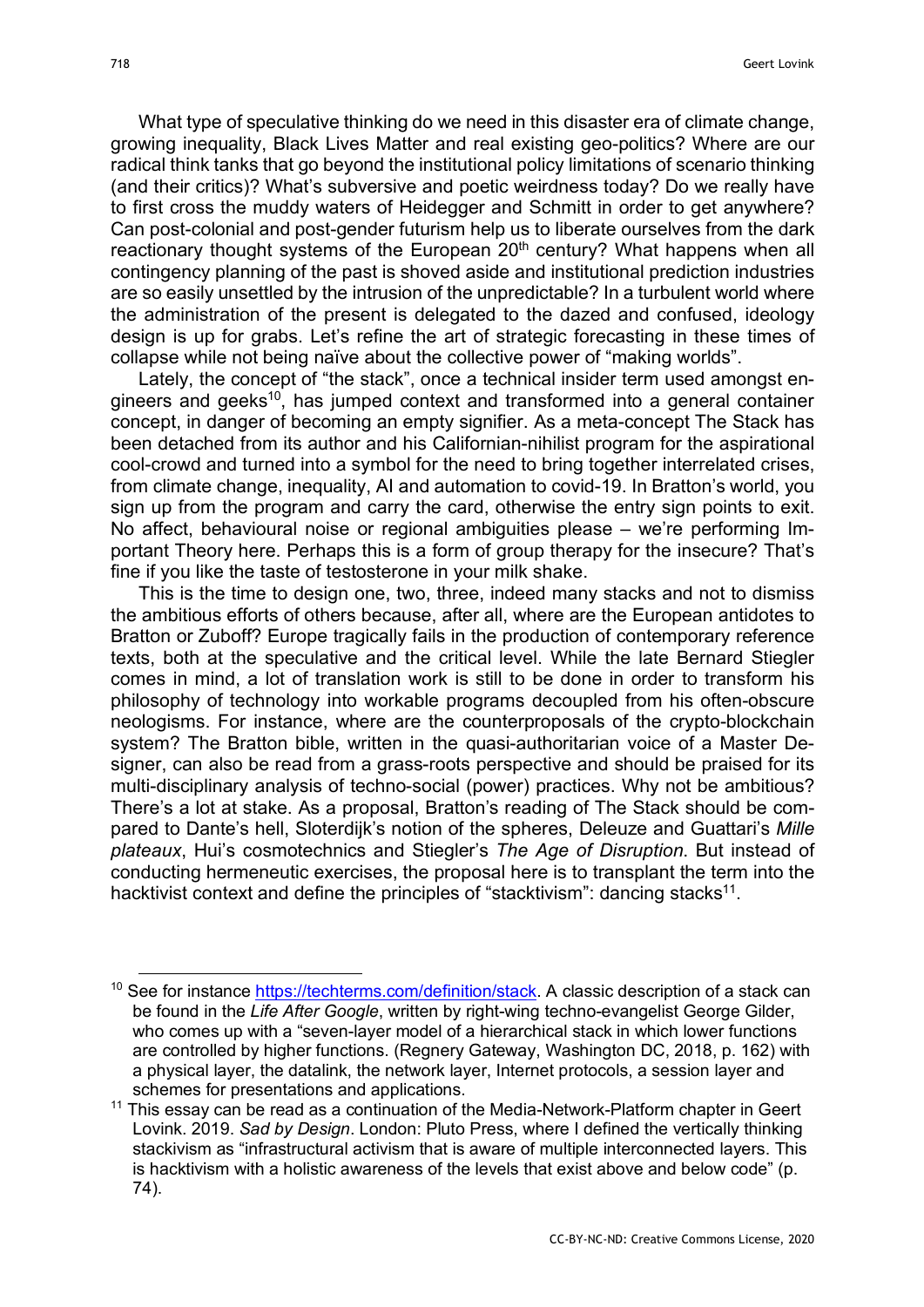What type of speculative thinking do we need in this disaster era of climate change, growing inequality, Black Lives Matter and real existing geo-politics? Where are our radical think tanks that go beyond the institutional policy limitations of scenario thinking (and their critics)? What's subversive and poetic weirdness today? Do we really have to first cross the muddy waters of Heidegger and Schmitt in order to get anywhere? Can post-colonial and post-gender futurism help us to liberate ourselves from the dark reactionary thought systems of the European 20<sup>th</sup> century? What happens when all contingency planning of the past is shoved aside and institutional prediction industries are so easily unsettled by the intrusion of the unpredictable? In a turbulent world where the administration of the present is delegated to the dazed and confused, ideology design is up for grabs. Let's refine the art of strategic forecasting in these times of collapse while not being naïve about the collective power of "making worlds".

Lately, the concept of "the stack", once a technical insider term used amongst engineers and geeks<sup>10</sup>, has jumped context and transformed into a general container concept, in danger of becoming an empty signifier. As a meta-concept The Stack has been detached from its author and his Californian-nihilist program for the aspirational cool-crowd and turned into a symbol for the need to bring together interrelated crises, from climate change, inequality, AI and automation to covid-19. In Bratton's world, you sign up from the program and carry the card, otherwise the entry sign points to exit. No affect, behavioural noise or regional ambiguities please – we're performing Important Theory here. Perhaps this is a form of group therapy for the insecure? That's fine if you like the taste of testosterone in your milk shake.

This is the time to design one, two, three, indeed many stacks and not to dismiss the ambitious efforts of others because, after all, where are the European antidotes to Bratton or Zuboff? Europe tragically fails in the production of contemporary reference texts, both at the speculative and the critical level. While the late Bernard Stiegler comes in mind, a lot of translation work is still to be done in order to transform his philosophy of technology into workable programs decoupled from his often-obscure neologisms. For instance, where are the counterproposals of the crypto-blockchain system? The Bratton bible, written in the quasi-authoritarian voice of a Master Designer, can also be read from a grass-roots perspective and should be praised for its multi-disciplinary analysis of techno-social (power) practices. Why not be ambitious? There's a lot at stake. As a proposal, Bratton's reading of The Stack should be compared to Dante's hell, Sloterdijk's notion of the spheres, Deleuze and Guattari's *Mille plateaux*, Hui's cosmotechnics and Stiegler's *The Age of Disruption*. But instead of conducting hermeneutic exercises, the proposal here is to transplant the term into the hacktivist context and define the principles of "stacktivism": dancing stacks<sup>11</sup>.

<sup>&</sup>lt;sup>10</sup> See for instance https://techterms.com/definition/stack. A classic description of a stack can be found in the *Life After Google*, written by right-wing techno-evangelist George Gilder, who comes up with a "seven-layer model of a hierarchical stack in which lower functions are controlled by higher functions. (Regnery Gateway, Washington DC, 2018, p. 162) with a physical layer, the datalink, the network layer, Internet protocols, a session layer and schemes for presentations and applications.

 $11$  This essay can be read as a continuation of the Media-Network-Platform chapter in Geert Lovink. 2019. *Sad by Design*. London: Pluto Press, where I defined the vertically thinking stackivism as "infrastructural activism that is aware of multiple interconnected layers. This is hacktivism with a holistic awareness of the levels that exist above and below code" (p. 74).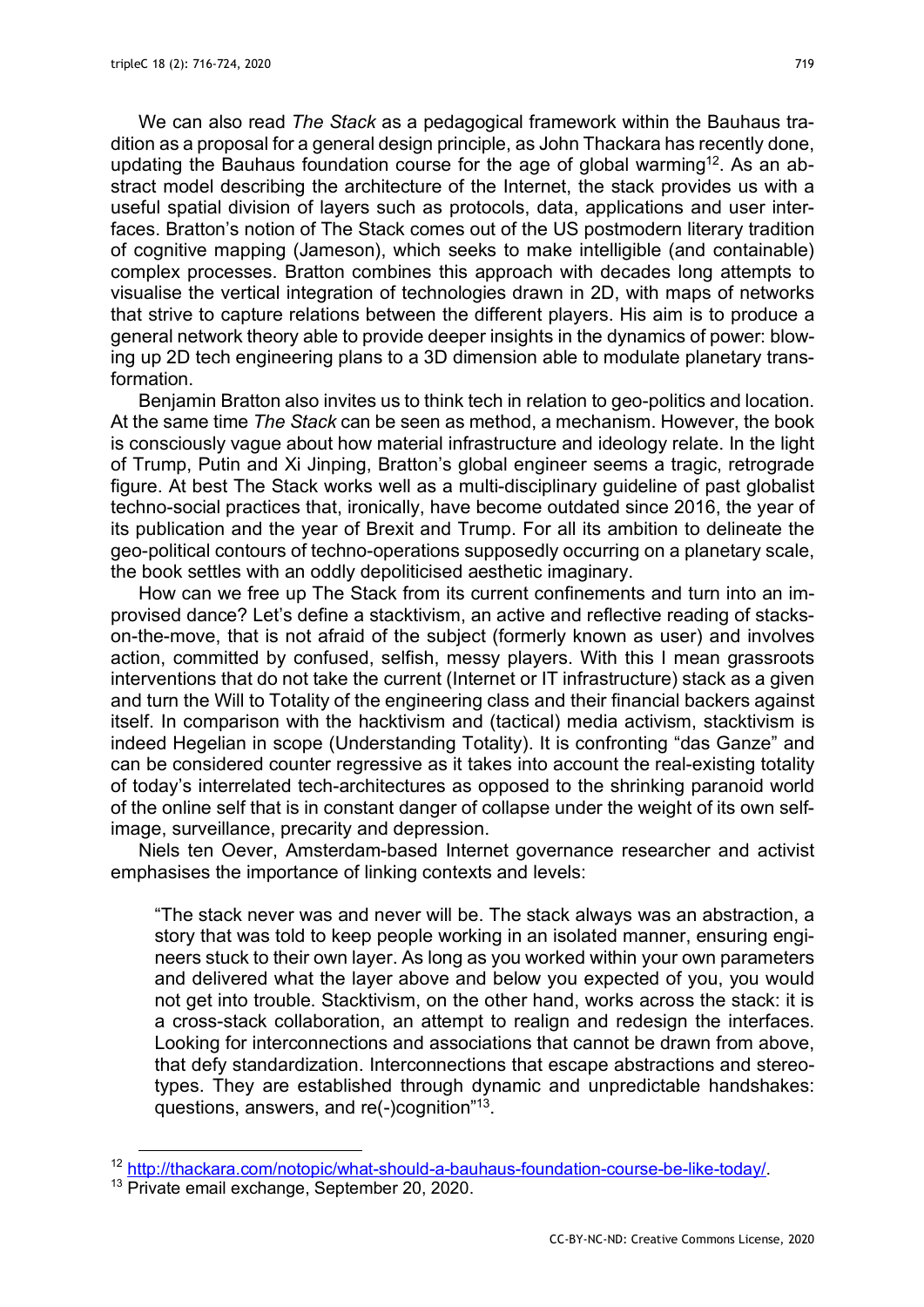We can also read *The Stack* as a pedagogical framework within the Bauhaus tradition as a proposal for a general design principle, as John Thackara has recently done, updating the Bauhaus foundation course for the age of global warming<sup>12</sup>. As an abstract model describing the architecture of the Internet, the stack provides us with a useful spatial division of layers such as protocols, data, applications and user interfaces. Bratton's notion of The Stack comes out of the US postmodern literary tradition of cognitive mapping (Jameson), which seeks to make intelligible (and containable) complex processes. Bratton combines this approach with decades long attempts to visualise the vertical integration of technologies drawn in 2D, with maps of networks that strive to capture relations between the different players. His aim is to produce a general network theory able to provide deeper insights in the dynamics of power: blowing up 2D tech engineering plans to a 3D dimension able to modulate planetary transformation.

Benjamin Bratton also invites us to think tech in relation to geo-politics and location. At the same time *The Stack* can be seen as method, a mechanism. However, the book is consciously vague about how material infrastructure and ideology relate. In the light of Trump, Putin and Xi Jinping, Bratton's global engineer seems a tragic, retrograde figure. At best The Stack works well as a multi-disciplinary guideline of past globalist techno-social practices that, ironically, have become outdated since 2016, the year of its publication and the year of Brexit and Trump. For all its ambition to delineate the geo-political contours of techno-operations supposedly occurring on a planetary scale, the book settles with an oddly depoliticised aesthetic imaginary.

How can we free up The Stack from its current confinements and turn into an improvised dance? Let's define a stacktivism, an active and reflective reading of stackson-the-move, that is not afraid of the subject (formerly known as user) and involves action, committed by confused, selfish, messy players. With this I mean grassroots interventions that do not take the current (Internet or IT infrastructure) stack as a given and turn the Will to Totality of the engineering class and their financial backers against itself. In comparison with the hacktivism and (tactical) media activism, stacktivism is indeed Hegelian in scope (Understanding Totality). It is confronting "das Ganze" and can be considered counter regressive as it takes into account the real-existing totality of today's interrelated tech-architectures as opposed to the shrinking paranoid world of the online self that is in constant danger of collapse under the weight of its own selfimage, surveillance, precarity and depression.

Niels ten Oever, Amsterdam-based Internet governance researcher and activist emphasises the importance of linking contexts and levels:

"The stack never was and never will be. The stack always was an abstraction, a story that was told to keep people working in an isolated manner, ensuring engineers stuck to their own layer. As long as you worked within your own parameters and delivered what the layer above and below you expected of you, you would not get into trouble. Stacktivism, on the other hand, works across the stack: it is a cross-stack collaboration, an attempt to realign and redesign the interfaces. Looking for interconnections and associations that cannot be drawn from above, that defy standardization. Interconnections that escape abstractions and stereotypes. They are established through dynamic and unpredictable handshakes: questions, answers, and re(-)cognition"<sup>13</sup>.

<sup>&</sup>lt;sup>12</sup> http://thackara.com/notopic/what-should-a-bauhaus-foundation-course-be-like-today/.<br><sup>13</sup> Private email exchange, September 20, 2020.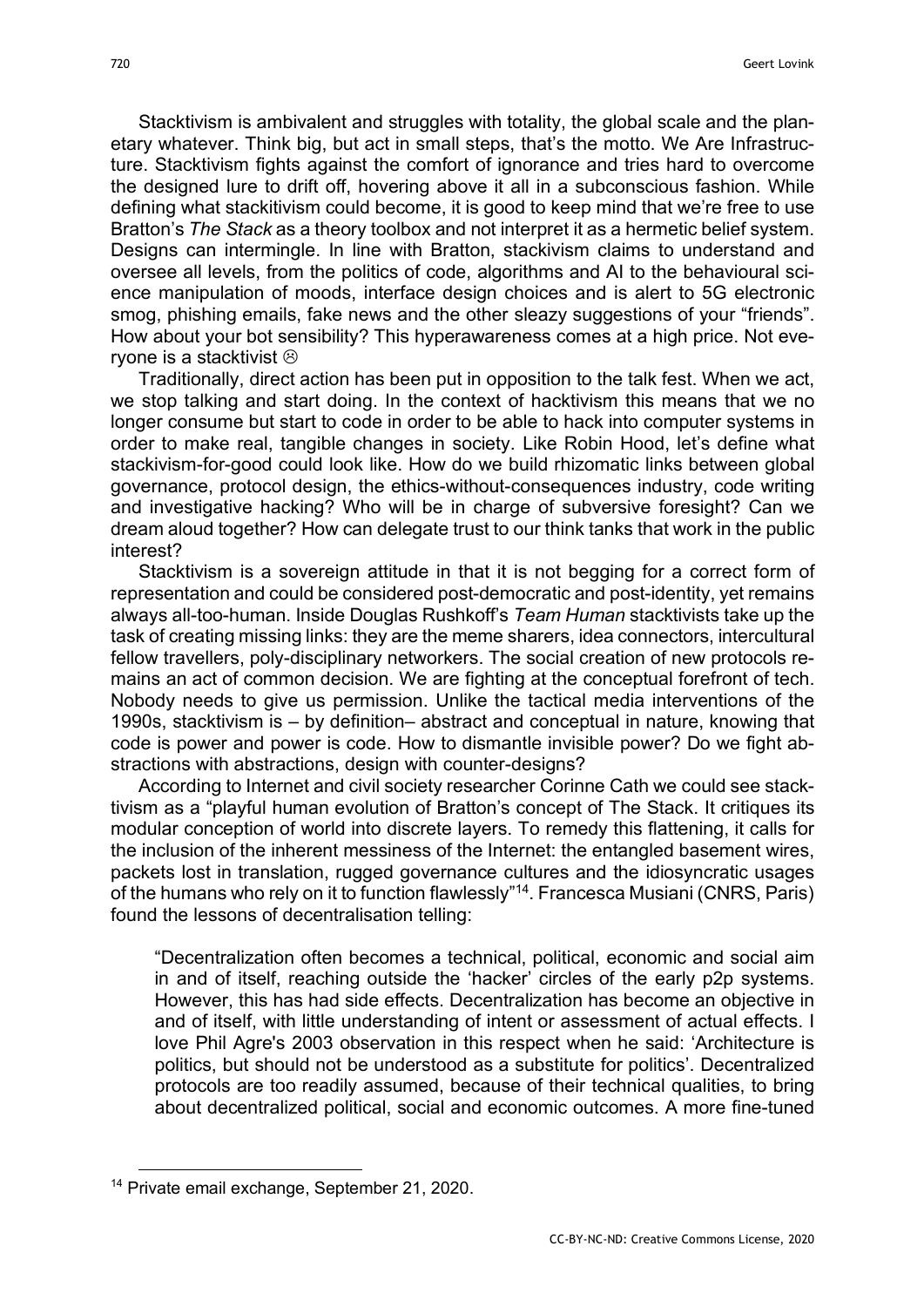Stacktivism is ambivalent and struggles with totality, the global scale and the planetary whatever. Think big, but act in small steps, that's the motto. We Are Infrastructure. Stacktivism fights against the comfort of ignorance and tries hard to overcome the designed lure to drift off, hovering above it all in a subconscious fashion. While defining what stackitivism could become, it is good to keep mind that we're free to use Bratton's *The Stack* as a theory toolbox and not interpret it as a hermetic belief system. Designs can intermingle. In line with Bratton, stackivism claims to understand and oversee all levels, from the politics of code, algorithms and AI to the behavioural science manipulation of moods, interface design choices and is alert to 5G electronic smog, phishing emails, fake news and the other sleazy suggestions of your "friends". How about your bot sensibility? This hyperawareness comes at a high price. Not evervone is a stacktivist  $\odot$ 

Traditionally, direct action has been put in opposition to the talk fest. When we act, we stop talking and start doing. In the context of hacktivism this means that we no longer consume but start to code in order to be able to hack into computer systems in order to make real, tangible changes in society. Like Robin Hood, let's define what stackivism-for-good could look like. How do we build rhizomatic links between global governance, protocol design, the ethics-without-consequences industry, code writing and investigative hacking? Who will be in charge of subversive foresight? Can we dream aloud together? How can delegate trust to our think tanks that work in the public interest?

Stacktivism is a sovereign attitude in that it is not begging for a correct form of representation and could be considered post-democratic and post-identity, yet remains always all-too-human. Inside Douglas Rushkoff's *Team Human* stacktivists take up the task of creating missing links: they are the meme sharers, idea connectors, intercultural fellow travellers, poly-disciplinary networkers. The social creation of new protocols remains an act of common decision. We are fighting at the conceptual forefront of tech. Nobody needs to give us permission. Unlike the tactical media interventions of the 1990s, stacktivism is – by definition– abstract and conceptual in nature, knowing that code is power and power is code. How to dismantle invisible power? Do we fight abstractions with abstractions, design with counter-designs?

According to Internet and civil society researcher Corinne Cath we could see stacktivism as a "playful human evolution of Bratton's concept of The Stack. It critiques its modular conception of world into discrete layers. To remedy this flattening, it calls for the inclusion of the inherent messiness of the Internet: the entangled basement wires, packets lost in translation, rugged governance cultures and the idiosyncratic usages of the humans who rely on it to function flawlessly"<sup>14</sup>. Francesca Musiani (CNRS, Paris) found the lessons of decentralisation telling:

"Decentralization often becomes a technical, political, economic and social aim in and of itself, reaching outside the 'hacker' circles of the early p2p systems. However, this has had side effects. Decentralization has become an objective in and of itself, with little understanding of intent or assessment of actual effects. I love Phil Agre's 2003 observation in this respect when he said: 'Architecture is politics, but should not be understood as a substitute for politics'. Decentralized protocols are too readily assumed, because of their technical qualities, to bring about decentralized political, social and economic outcomes. A more fine-tuned

 <sup>14</sup> Private email exchange, September 21, 2020.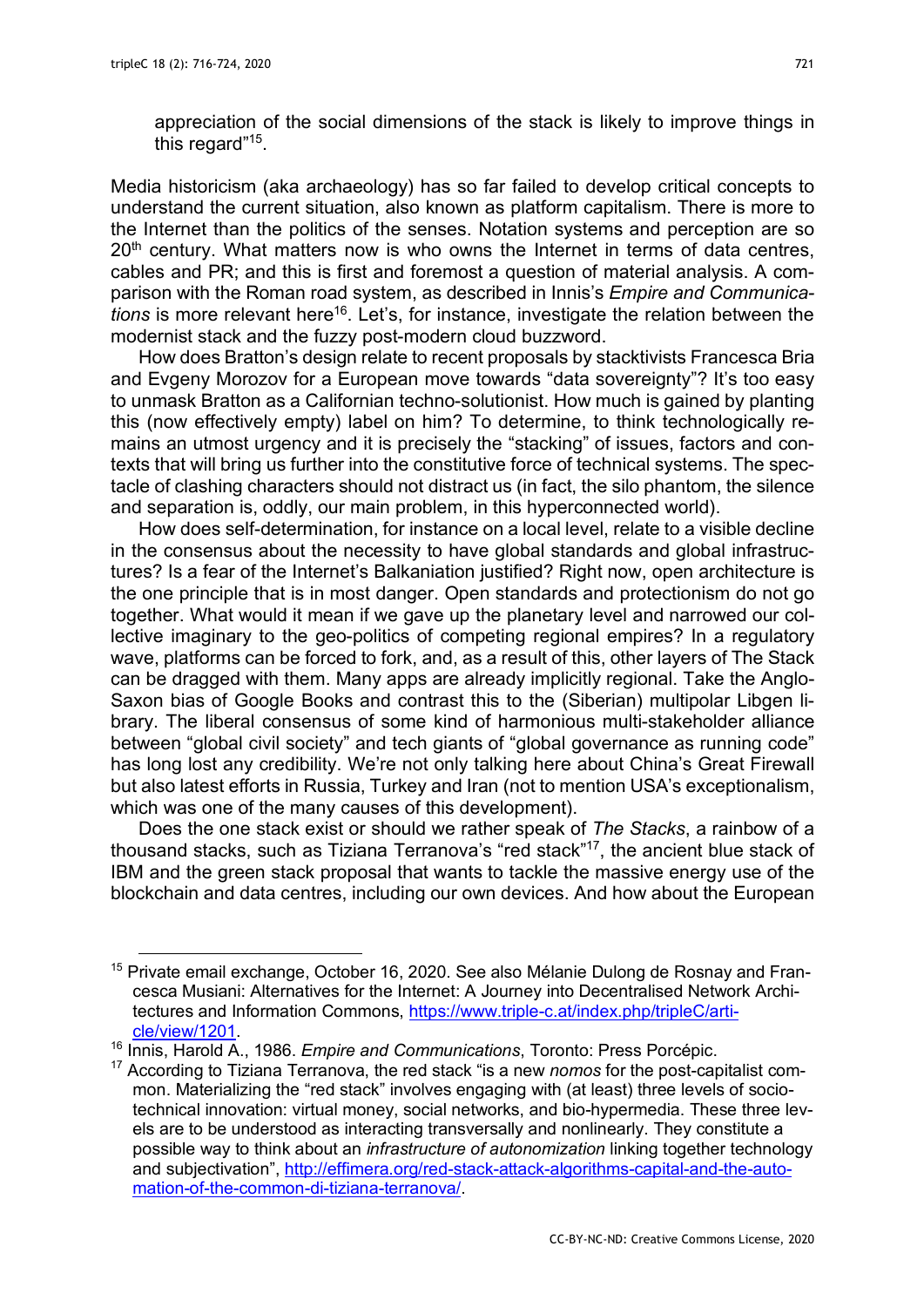appreciation of the social dimensions of the stack is likely to improve things in this regard"<sup>15</sup>.

Media historicism (aka archaeology) has so far failed to develop critical concepts to understand the current situation, also known as platform capitalism. There is more to the Internet than the politics of the senses. Notation systems and perception are so  $20<sup>th</sup>$  century. What matters now is who owns the Internet in terms of data centres, cables and PR; and this is first and foremost a question of material analysis. A comparison with the Roman road system, as described in Innis's *Empire and Communications* is more relevant here<sup>16</sup>. Let's, for instance, investigate the relation between the modernist stack and the fuzzy post-modern cloud buzzword.

How does Bratton's design relate to recent proposals by stacktivists Francesca Bria and Evgeny Morozov for a European move towards "data sovereignty"? It's too easy to unmask Bratton as a Californian techno-solutionist. How much is gained by planting this (now effectively empty) label on him? To determine, to think technologically remains an utmost urgency and it is precisely the "stacking" of issues, factors and contexts that will bring us further into the constitutive force of technical systems. The spectacle of clashing characters should not distract us (in fact, the silo phantom, the silence and separation is, oddly, our main problem, in this hyperconnected world).

How does self-determination, for instance on a local level, relate to a visible decline in the consensus about the necessity to have global standards and global infrastructures? Is a fear of the Internet's Balkaniation justified? Right now, open architecture is the one principle that is in most danger. Open standards and protectionism do not go together. What would it mean if we gave up the planetary level and narrowed our collective imaginary to the geo-politics of competing regional empires? In a regulatory wave, platforms can be forced to fork, and, as a result of this, other layers of The Stack can be dragged with them. Many apps are already implicitly regional. Take the Anglo-Saxon bias of Google Books and contrast this to the (Siberian) multipolar Libgen library. The liberal consensus of some kind of harmonious multi-stakeholder alliance between "global civil society" and tech giants of "global governance as running code" has long lost any credibility. We're not only talking here about China's Great Firewall but also latest efforts in Russia, Turkey and Iran (not to mention USA's exceptionalism, which was one of the many causes of this development).

Does the one stack exist or should we rather speak of *The Stacks*, a rainbow of a thousand stacks, such as Tiziana Terranova's "red stack"17, the ancient blue stack of IBM and the green stack proposal that wants to tackle the massive energy use of the blockchain and data centres, including our own devices. And how about the European

<sup>&</sup>lt;sup>15</sup> Private email exchange, October 16, 2020. See also Mélanie Dulong de Rosnay and Francesca Musiani: Alternatives for the Internet: A Journey into Decentralised Network Architectures and Information Commons, https://www.triple-c.at/index.php/tripleC/article/view/1201. 16 Innis, Harold A., 1986. *Empire and Communications*, Toronto: Press Porcépic.

<sup>17</sup> According to Tiziana Terranova, the red stack "is a new *nomos* for the post-capitalist common. Materializing the "red stack" involves engaging with (at least) three levels of sociotechnical innovation: virtual money, social networks, and bio-hypermedia. These three levels are to be understood as interacting transversally and nonlinearly. They constitute a possible way to think about an *infrastructure of autonomization* linking together technology and subjectivation", http://effimera.org/red-stack-attack-algorithms-capital-and-the-automation-of-the-common-di-tiziana-terranova/.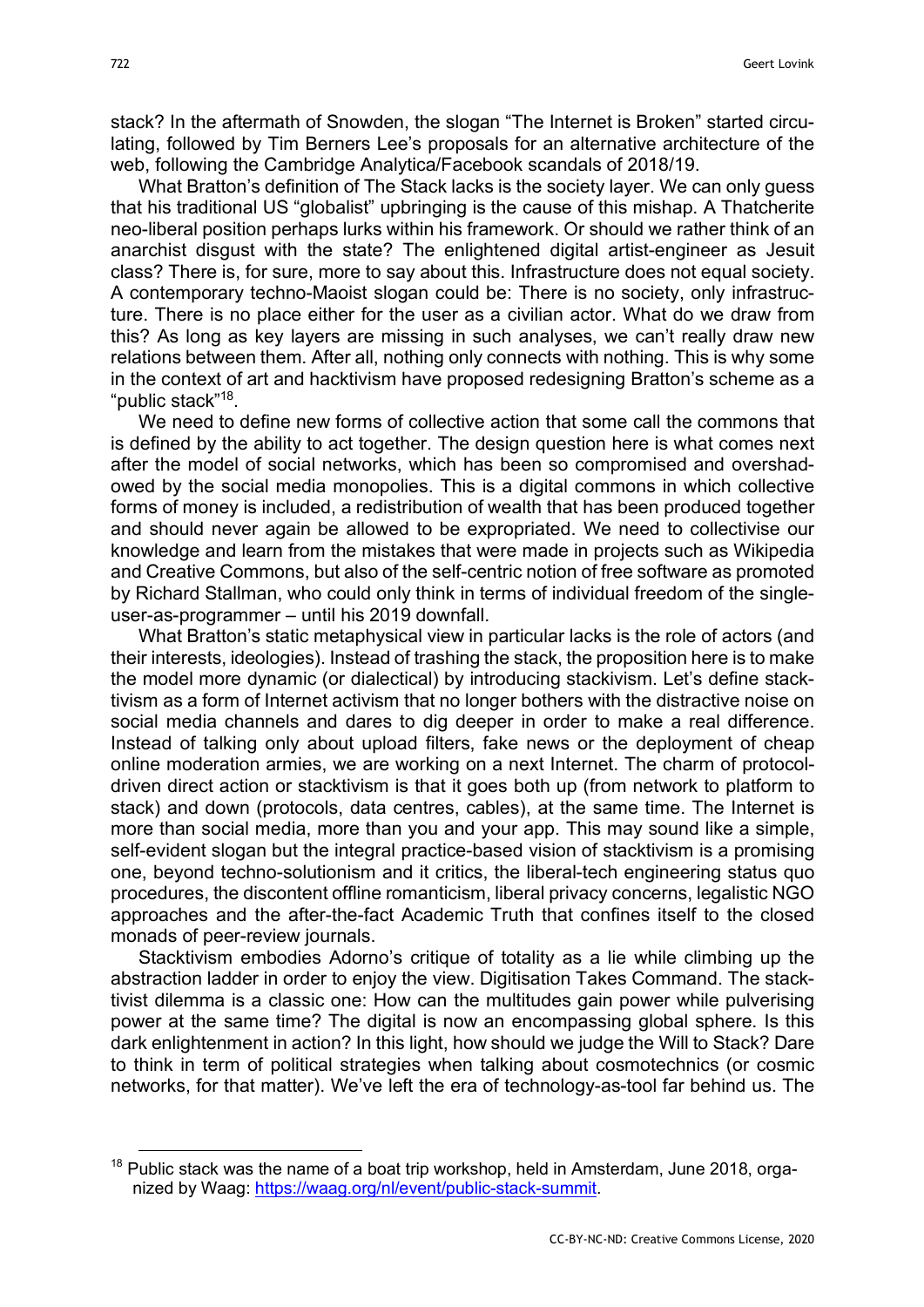stack? In the aftermath of Snowden, the slogan "The Internet is Broken" started circulating, followed by Tim Berners Lee's proposals for an alternative architecture of the web, following the Cambridge Analytica/Facebook scandals of 2018/19.

What Bratton's definition of The Stack lacks is the society layer. We can only guess that his traditional US "globalist" upbringing is the cause of this mishap. A Thatcherite neo-liberal position perhaps lurks within his framework. Or should we rather think of an anarchist disgust with the state? The enlightened digital artist-engineer as Jesuit class? There is, for sure, more to say about this. Infrastructure does not equal society. A contemporary techno-Maoist slogan could be: There is no society, only infrastructure. There is no place either for the user as a civilian actor. What do we draw from this? As long as key layers are missing in such analyses, we can't really draw new relations between them. After all, nothing only connects with nothing. This is why some in the context of art and hacktivism have proposed redesigning Bratton's scheme as a "public stack"18.

We need to define new forms of collective action that some call the commons that is defined by the ability to act together. The design question here is what comes next after the model of social networks, which has been so compromised and overshadowed by the social media monopolies. This is a digital commons in which collective forms of money is included, a redistribution of wealth that has been produced together and should never again be allowed to be expropriated. We need to collectivise our knowledge and learn from the mistakes that were made in projects such as Wikipedia and Creative Commons, but also of the self-centric notion of free software as promoted by Richard Stallman, who could only think in terms of individual freedom of the singleuser-as-programmer – until his 2019 downfall.

What Bratton's static metaphysical view in particular lacks is the role of actors (and their interests, ideologies). Instead of trashing the stack, the proposition here is to make the model more dynamic (or dialectical) by introducing stackivism. Let's define stacktivism as a form of Internet activism that no longer bothers with the distractive noise on social media channels and dares to dig deeper in order to make a real difference. Instead of talking only about upload filters, fake news or the deployment of cheap online moderation armies, we are working on a next Internet. The charm of protocoldriven direct action or stacktivism is that it goes both up (from network to platform to stack) and down (protocols, data centres, cables), at the same time. The Internet is more than social media, more than you and your app. This may sound like a simple, self-evident slogan but the integral practice-based vision of stacktivism is a promising one, beyond techno-solutionism and it critics, the liberal-tech engineering status quo procedures, the discontent offline romanticism, liberal privacy concerns, legalistic NGO approaches and the after-the-fact Academic Truth that confines itself to the closed monads of peer-review journals.

Stacktivism embodies Adorno's critique of totality as a lie while climbing up the abstraction ladder in order to enjoy the view. Digitisation Takes Command. The stacktivist dilemma is a classic one: How can the multitudes gain power while pulverising power at the same time? The digital is now an encompassing global sphere. Is this dark enlightenment in action? In this light, how should we judge the Will to Stack? Dare to think in term of political strategies when talking about cosmotechnics (or cosmic networks, for that matter). We've left the era of technology-as-tool far behind us. The

<sup>&</sup>lt;sup>18</sup> Public stack was the name of a boat trip workshop, held in Amsterdam, June 2018, organized by Waag: https://waag.org/nl/event/public-stack-summit.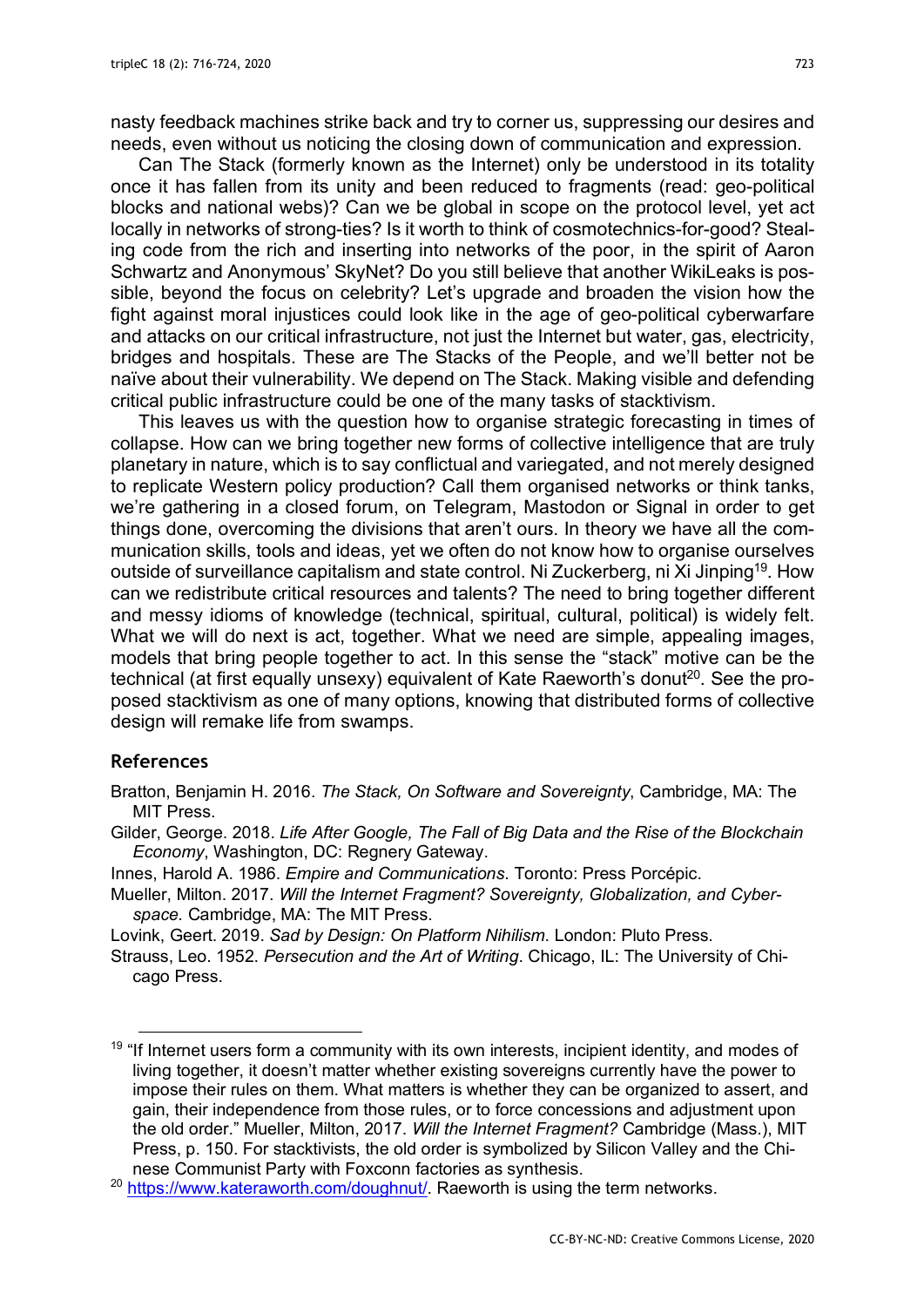nasty feedback machines strike back and try to corner us, suppressing our desires and needs, even without us noticing the closing down of communication and expression.

Can The Stack (formerly known as the Internet) only be understood in its totality once it has fallen from its unity and been reduced to fragments (read: geo-political blocks and national webs)? Can we be global in scope on the protocol level, yet act locally in networks of strong-ties? Is it worth to think of cosmotechnics-for-good? Stealing code from the rich and inserting into networks of the poor, in the spirit of Aaron Schwartz and Anonymous' SkyNet? Do you still believe that another WikiLeaks is possible, beyond the focus on celebrity? Let's upgrade and broaden the vision how the fight against moral injustices could look like in the age of geo-political cyberwarfare and attacks on our critical infrastructure, not just the Internet but water, gas, electricity, bridges and hospitals. These are The Stacks of the People, and we'll better not be naïve about their vulnerability. We depend on The Stack. Making visible and defending critical public infrastructure could be one of the many tasks of stacktivism.

This leaves us with the question how to organise strategic forecasting in times of collapse. How can we bring together new forms of collective intelligence that are truly planetary in nature, which is to say conflictual and variegated, and not merely designed to replicate Western policy production? Call them organised networks or think tanks, we're gathering in a closed forum, on Telegram, Mastodon or Signal in order to get things done, overcoming the divisions that aren't ours. In theory we have all the communication skills, tools and ideas, yet we often do not know how to organise ourselves outside of surveillance capitalism and state control. Ni Zuckerberg, ni Xi Jinping<sup>19</sup>. How can we redistribute critical resources and talents? The need to bring together different and messy idioms of knowledge (technical, spiritual, cultural, political) is widely felt. What we will do next is act, together. What we need are simple, appealing images, models that bring people together to act. In this sense the "stack" motive can be the technical (at first equally unsexy) equivalent of Kate Raeworth's donut<sup>20</sup>. See the proposed stacktivism as one of many options, knowing that distributed forms of collective design will remake life from swamps.

### **References**

- Gilder, George. 2018. *Life After Google, The Fall of Big Data and the Rise of the Blockchain Economy*, Washington, DC: Regnery Gateway.
- Innes, Harold A. 1986. *Empire and Communications*. Toronto: Press Porcépic.
- Mueller, Milton. 2017. *Will the Internet Fragment? Sovereignty, Globalization, and Cyberspace.* Cambridge, MA: The MIT Press.
- Lovink, Geert. 2019. *Sad by Design: On Platform Nihilism*. London: Pluto Press.

Bratton, Benjamin H. 2016. *The Stack, On Software and Sovereignty*, Cambridge, MA: The MIT Press.

Strauss, Leo. 1952. *Persecution and the Art of Writing*. Chicago, IL: The University of Chicago Press.

 $19$  "If Internet users form a community with its own interests, incipient identity, and modes of living together, it doesn't matter whether existing sovereigns currently have the power to impose their rules on them. What matters is whether they can be organized to assert, and gain, their independence from those rules, or to force concessions and adjustment upon the old order." Mueller, Milton, 2017. *Will the Internet Fragment?* Cambridge (Mass.), MIT Press, p. 150. For stacktivists, the old order is symbolized by Silicon Valley and the Chinese Communist Party with Foxconn factories as synthesis.

<sup>&</sup>lt;sup>20</sup> https://www.kateraworth.com/doughnut/. Raeworth is using the term networks.